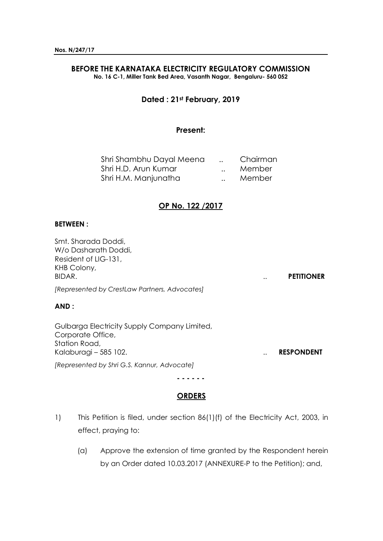# **BEFORE THE KARNATAKA ELECTRICITY REGULATORY COMMISSION**

**No. 16 C-1, Miller Tank Bed Area, Vasanth Nagar, Bengaluru- 560 052**

## **Dated : 21st February, 2019**

## **Present:**

| Shri Shambhu Dayal Meena | Chairman |
|--------------------------|----------|
| Shri H.D. Arun Kumar     | Member   |
| Shri H.M. Manjunatha     | Member   |

## **OP No. 122 /2017**

### **BETWEEN :**

Smt. Sharada Doddi, W/o Dasharath Doddi, Resident of LIG-131, KHB Colony, BIDAR. .. **PETITIONER**

*[Represented by CrestLaw Partners, Advocates]*

## **AND :**

Gulbarga Electricity Supply Company Limited, Corporate Office, Station Road, Kalaburagi – 585 102. **RESPONDENT** 

*[Represented by Shri G.S. Kannur, Advocate]*

#### **- - - - - -**

## **ORDERS**

- 1) This Petition is filed, under section 86(1)(f) of the Electricity Act, 2003, in effect, praying to:
	- (a) Approve the extension of time granted by the Respondent herein by an Order dated 10.03.2017 (ANNEXURE-P to the Petition); and,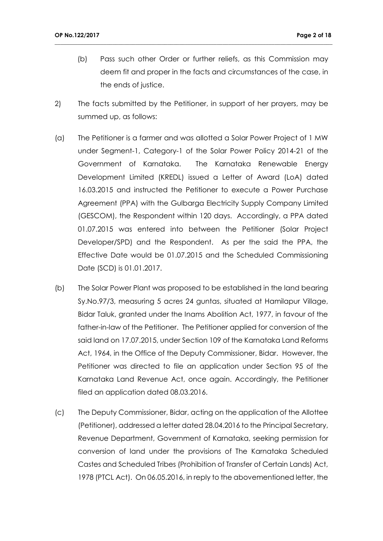- (b) Pass such other Order or further reliefs, as this Commission may deem fit and proper in the facts and circumstances of the case, in the ends of justice.
- 2) The facts submitted by the Petitioner, in support of her prayers, may be summed up, as follows:

- (a) The Petitioner is a farmer and was allotted a Solar Power Project of 1 MW under Segment-1, Category-1 of the Solar Power Policy 2014-21 of the Government of Karnataka. The Karnataka Renewable Energy Development Limited (KREDL) issued a Letter of Award (LoA) dated 16.03.2015 and instructed the Petitioner to execute a Power Purchase Agreement (PPA) with the Gulbarga Electricity Supply Company Limited (GESCOM), the Respondent within 120 days. Accordingly, a PPA dated 01.07.2015 was entered into between the Petitioner (Solar Project Developer/SPD) and the Respondent. As per the said the PPA, the Effective Date would be 01.07.2015 and the Scheduled Commissioning Date (SCD) is 01.01.2017.
- (b) The Solar Power Plant was proposed to be established in the land bearing Sy.No.97/3, measuring 5 acres 24 guntas, situated at Hamilapur Village, Bidar Taluk, granted under the Inams Abolition Act, 1977, in favour of the father-in-law of the Petitioner. The Petitioner applied for conversion of the said land on 17.07.2015, under Section 109 of the Karnataka Land Reforms Act, 1964, in the Office of the Deputy Commissioner, Bidar. However, the Petitioner was directed to file an application under Section 95 of the Karnataka Land Revenue Act, once again. Accordingly, the Petitioner filed an application dated 08.03.2016.
- (c) The Deputy Commissioner, Bidar, acting on the application of the Allottee (Petitioner), addressed a letter dated 28.04.2016 to the Principal Secretary, Revenue Department, Government of Karnataka, seeking permission for conversion of land under the provisions of The Karnataka Scheduled Castes and Scheduled Tribes (Prohibition of Transfer of Certain Lands) Act, 1978 (PTCL Act). On 06.05.2016, in reply to the abovementioned letter, the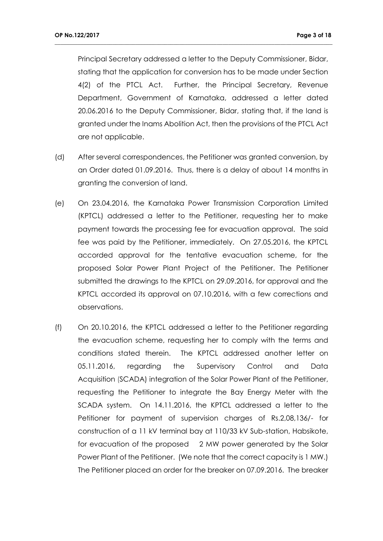Principal Secretary addressed a letter to the Deputy Commissioner, Bidar, stating that the application for conversion has to be made under Section 4(2) of the PTCL Act. Further, the Principal Secretary, Revenue Department, Government of Karnataka, addressed a letter dated 20.06.2016 to the Deputy Commissioner, Bidar, stating that, if the land is granted under the Inams Abolition Act, then the provisions of the PTCL Act are not applicable.

- (d) After several correspondences, the Petitioner was granted conversion, by an Order dated 01.09.2016. Thus, there is a delay of about 14 months in granting the conversion of land.
- (e) On 23.04.2016, the Karnataka Power Transmission Corporation Limited (KPTCL) addressed a letter to the Petitioner, requesting her to make payment towards the processing fee for evacuation approval. The said fee was paid by the Petitioner, immediately. On 27.05.2016, the KPTCL accorded approval for the tentative evacuation scheme, for the proposed Solar Power Plant Project of the Petitioner. The Petitioner submitted the drawings to the KPTCL on 29.09.2016, for approval and the KPTCL accorded its approval on 07.10.2016, with a few corrections and observations.
- (f) On 20.10.2016, the KPTCL addressed a letter to the Petitioner regarding the evacuation scheme, requesting her to comply with the terms and conditions stated therein. The KPTCL addressed another letter on 05.11.2016, regarding the Supervisory Control and Data Acquisition (SCADA) integration of the Solar Power Plant of the Petitioner, requesting the Petitioner to integrate the Bay Energy Meter with the SCADA system. On 14.11.2016, the KPTCL addressed a letter to the Petitioner for payment of supervision charges of Rs.2,08,136/- for construction of a 11 kV terminal bay at 110/33 kV Sub-station, Habsikote, for evacuation of the proposed 2 MW power generated by the Solar Power Plant of the Petitioner. (We note that the correct capacity is 1 MW.) The Petitioner placed an order for the breaker on 07.09.2016. The breaker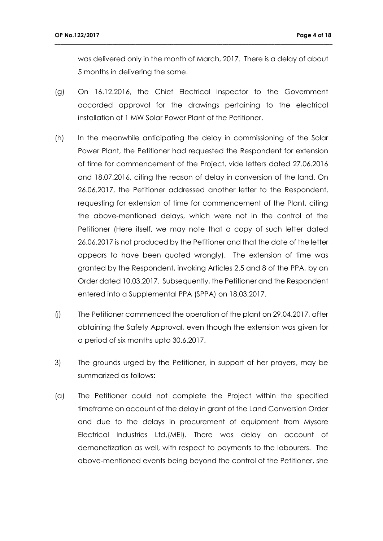was delivered only in the month of March, 2017. There is a delay of about 5 months in delivering the same.

(g) On 16.12.2016, the Chief Electrical Inspector to the Government accorded approval for the drawings pertaining to the electrical installation of 1 MW Solar Power Plant of the Petitioner.

- (h) In the meanwhile anticipating the delay in commissioning of the Solar Power Plant, the Petitioner had requested the Respondent for extension of time for commencement of the Project, vide letters dated 27.06.2016 and 18.07.2016, citing the reason of delay in conversion of the land. On 26.06.2017, the Petitioner addressed another letter to the Respondent, requesting for extension of time for commencement of the Plant, citing the above-mentioned delays, which were not in the control of the Petitioner (Here itself, we may note that a copy of such letter dated 26.06.2017 is not produced by the Petitioner and that the date of the letter appears to have been quoted wrongly). The extension of time was granted by the Respondent, invoking Articles 2.5 and 8 of the PPA, by an Order dated 10.03.2017. Subsequently, the Petitioner and the Respondent entered into a Supplemental PPA (SPPA) on 18.03.2017.
- (j) The Petitioner commenced the operation of the plant on 29.04.2017, after obtaining the Safety Approval, even though the extension was given for a period of six months upto 30.6.2017.
- 3) The grounds urged by the Petitioner, in support of her prayers, may be summarized as follows:
- (a) The Petitioner could not complete the Project within the specified timeframe on account of the delay in grant of the Land Conversion Order and due to the delays in procurement of equipment from Mysore Electrical Industries Ltd.(MEI). There was delay on account of demonetization as well, with respect to payments to the labourers. The above-mentioned events being beyond the control of the Petitioner, she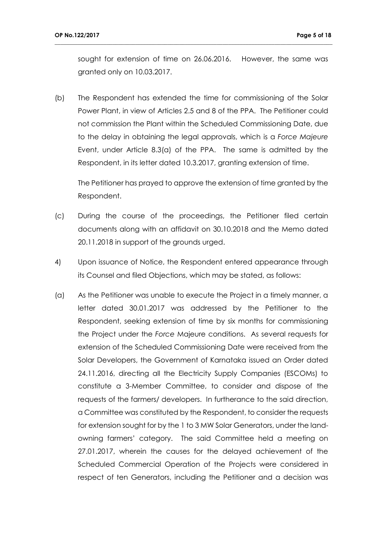sought for extension of time on 26.06.2016. However, the same was granted only on 10.03.2017.

**\_\_\_\_\_\_\_\_\_\_\_\_\_\_\_\_\_\_\_\_\_\_\_\_\_\_\_\_\_\_\_\_\_\_\_\_\_\_\_\_\_\_\_\_\_\_\_\_\_\_\_\_\_\_\_\_\_\_\_\_\_\_\_\_\_\_\_\_\_\_\_\_\_\_\_\_\_\_\_\_\_\_\_\_\_\_\_\_\_\_\_\_\_\_\_\_**

(b) The Respondent has extended the time for commissioning of the Solar Power Plant, in view of Articles 2.5 and 8 of the PPA. The Petitioner could not commission the Plant within the Scheduled Commissioning Date, due to the delay in obtaining the legal approvals, which is a *Force Majeure* Event, under Article 8.3(a) of the PPA. The same is admitted by the Respondent, in its letter dated 10.3.2017, granting extension of time.

The Petitioner has prayed to approve the extension of time granted by the Respondent.

- (c) During the course of the proceedings, the Petitioner filed certain documents along with an affidavit on 30.10.2018 and the Memo dated 20.11.2018 in support of the grounds urged.
- 4) Upon issuance of Notice, the Respondent entered appearance through its Counsel and filed Objections, which may be stated, as follows:
- (a) As the Petitioner was unable to execute the Project in a timely manner, a letter dated 30.01.2017 was addressed by the Petitioner to the Respondent, seeking extension of time by six months for commissioning the Project under the *Force* Majeure conditions. As several requests for extension of the Scheduled Commissioning Date were received from the Solar Developers, the Government of Karnataka issued an Order dated 24.11.2016, directing all the Electricity Supply Companies (ESCOMs) to constitute a 3-Member Committee, to consider and dispose of the requests of the farmers/ developers. In furtherance to the said direction, a Committee was constituted by the Respondent, to consider the requests for extension sought for by the 1 to 3 MW Solar Generators, under the landowning farmers' category. The said Committee held a meeting on 27.01.2017, wherein the causes for the delayed achievement of the Scheduled Commercial Operation of the Projects were considered in respect of ten Generators, including the Petitioner and a decision was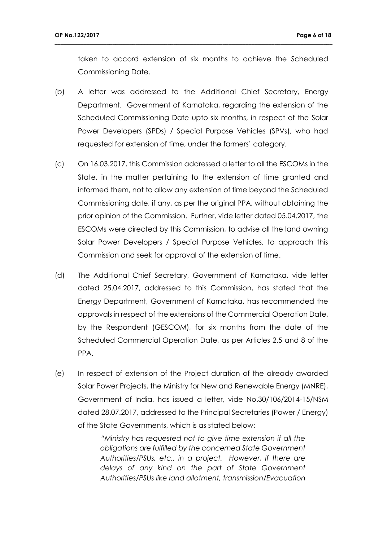taken to accord extension of six months to achieve the Scheduled Commissioning Date.

**\_\_\_\_\_\_\_\_\_\_\_\_\_\_\_\_\_\_\_\_\_\_\_\_\_\_\_\_\_\_\_\_\_\_\_\_\_\_\_\_\_\_\_\_\_\_\_\_\_\_\_\_\_\_\_\_\_\_\_\_\_\_\_\_\_\_\_\_\_\_\_\_\_\_\_\_\_\_\_\_\_\_\_\_\_\_\_\_\_\_\_\_\_\_\_\_**

- (b) A letter was addressed to the Additional Chief Secretary, Energy Department, Government of Karnataka, regarding the extension of the Scheduled Commissioning Date upto six months, in respect of the Solar Power Developers (SPDs) / Special Purpose Vehicles (SPVs), who had requested for extension of time, under the farmers' category.
- (c) On 16.03.2017, this Commission addressed a letter to all the ESCOMs in the State, in the matter pertaining to the extension of time granted and informed them, not to allow any extension of time beyond the Scheduled Commissioning date, if any, as per the original PPA, without obtaining the prior opinion of the Commission. Further, vide letter dated 05.04.2017, the ESCOMs were directed by this Commission, to advise all the land owning Solar Power Developers / Special Purpose Vehicles, to approach this Commission and seek for approval of the extension of time.
- (d) The Additional Chief Secretary, Government of Karnataka, vide letter dated 25.04.2017, addressed to this Commission, has stated that the Energy Department, Government of Karnataka, has recommended the approvals in respect of the extensions of the Commercial Operation Date, by the Respondent (GESCOM), for six months from the date of the Scheduled Commercial Operation Date, as per Articles 2.5 and 8 of the PPA.
- (e) In respect of extension of the Project duration of the already awarded Solar Power Projects, the Ministry for New and Renewable Energy (MNRE), Government of India, has issued a letter, vide No.30/106/2014-15/NSM dated 28.07.2017, addressed to the Principal Secretaries (Power / Energy) of the State Governments, which is as stated below:

*"Ministry has requested not to give time extension if all the obligations are fulfilled by the concerned State Government Authorities/PSUs, etc., in a project. However, if there are delays of any kind on the part of State Government Authorities/PSUs like land allotment, transmission/Evacuation*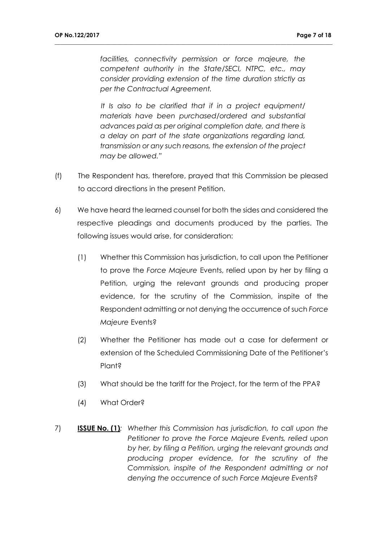*facilities, connectivity permission or force majeure, the competent authority in the State/SECI, NTPC, etc., may consider providing extension of the time duration strictly as per the Contractual Agreement.*

**\_\_\_\_\_\_\_\_\_\_\_\_\_\_\_\_\_\_\_\_\_\_\_\_\_\_\_\_\_\_\_\_\_\_\_\_\_\_\_\_\_\_\_\_\_\_\_\_\_\_\_\_\_\_\_\_\_\_\_\_\_\_\_\_\_\_\_\_\_\_\_\_\_\_\_\_\_\_\_\_\_\_\_\_\_\_\_\_\_\_\_\_\_\_\_\_**

*It Is also to be clarified that if in a project equipment/ materials have been purchased/ordered and substantial advances paid as per original completion date, and there is a delay on part of the state organizations regarding land, transmission or any such reasons, the extension of the project may be allowed."*

- (f) The Respondent has, therefore, prayed that this Commission be pleased to accord directions in the present Petition.
- 6) We have heard the learned counsel for both the sides and considered the respective pleadings and documents produced by the parties. The following issues would arise, for consideration:
	- (1) Whether this Commission has jurisdiction, to call upon the Petitioner to prove the *Force Majeure* Events, relied upon by her by filing a Petition, urging the relevant grounds and producing proper evidence, for the scrutiny of the Commission, inspite of the Respondent admitting or not denying the occurrence of such *Force Majeure* Events?
	- (2) Whether the Petitioner has made out a case for deferment or extension of the Scheduled Commissioning Date of the Petitioner's Plant?
	- (3) What should be the tariff for the Project, for the term of the PPA?
	- (4) What Order?
- 7) **ISSUE No. (1)***: Whether this Commission has jurisdiction, to call upon the Petitioner to prove the Force Majeure Events, relied upon by her, by filing a Petition, urging the relevant grounds and producing proper evidence, for the scrutiny of the Commission, inspite of the Respondent admitting or not denying the occurrence of such Force Majeure Events?*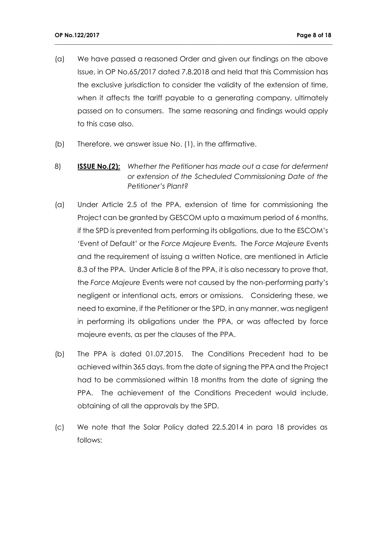(a) We have passed a reasoned Order and given our findings on the above Issue, in OP No.65/2017 dated 7.8.2018 and held that this Commission has the exclusive jurisdiction to consider the validity of the extension of time, when it affects the tariff payable to a generating company, ultimately passed on to consumers. The same reasoning and findings would apply to this case also.

- (b) Therefore, we answer issue No. (1), in the affirmative.
- 8) **ISSUE No.(2):** *Whether the Petitioner has made out a case for deferment or extension of the Scheduled Commissioning Date of the Petitioner's Plant?*
- (a) Under Article 2.5 of the PPA, extension of time for commissioning the Project can be granted by GESCOM upto a maximum period of 6 months, if the SPD is prevented from performing its obligations, due to the ESCOM's 'Event of Default' or the *Force Majeure* Events. The *Force Majeure* Events and the requirement of issuing a written Notice, are mentioned in Article 8.3 of the PPA. Under Article 8 of the PPA, it is also necessary to prove that, the *Force Majeure* Events were not caused by the non-performing party's negligent or intentional acts, errors or omissions. Considering these, we need to examine, if the Petitioner or the SPD, in any manner, was negligent in performing its obligations under the PPA, or was affected by force majeure events, as per the clauses of the PPA.
- (b) The PPA is dated 01.07.2015. The Conditions Precedent had to be achieved within 365 days, from the date of signing the PPA and the Project had to be commissioned within 18 months from the date of signing the PPA. The achievement of the Conditions Precedent would include, obtaining of all the approvals by the SPD.
- (c) We note that the Solar Policy dated 22.5.2014 in para 18 provides as follows: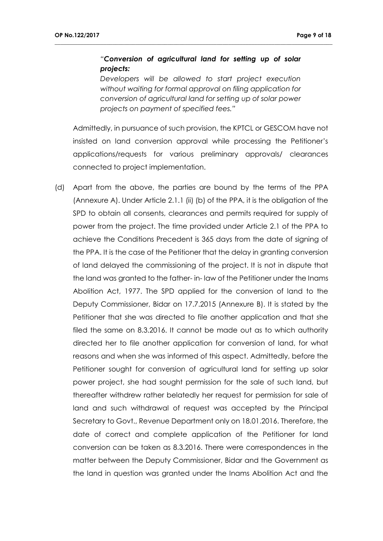# *"Conversion of agricultural land for setting up of solar projects:*

**\_\_\_\_\_\_\_\_\_\_\_\_\_\_\_\_\_\_\_\_\_\_\_\_\_\_\_\_\_\_\_\_\_\_\_\_\_\_\_\_\_\_\_\_\_\_\_\_\_\_\_\_\_\_\_\_\_\_\_\_\_\_\_\_\_\_\_\_\_\_\_\_\_\_\_\_\_\_\_\_\_\_\_\_\_\_\_\_\_\_\_\_\_\_\_\_**

*Developers will be allowed to start project execution without waiting for formal approval on filing application for conversion of agricultural land for setting up of solar power projects on payment of specified fees."*

Admittedly, in pursuance of such provision, the KPTCL or GESCOM have not insisted on land conversion approval while processing the Petitioner's applications/requests for various preliminary approvals/ clearances connected to project implementation.

(d) Apart from the above, the parties are bound by the terms of the PPA (Annexure A). Under Article 2.1.1 (ii) (b) of the PPA, it is the obligation of the SPD to obtain all consents, clearances and permits required for supply of power from the project. The time provided under Article 2.1 of the PPA to achieve the Conditions Precedent is 365 days from the date of signing of the PPA. It is the case of the Petitioner that the delay in granting conversion of land delayed the commissioning of the project. It is not in dispute that the land was granted to the father- in- law of the Petitioner under the Inams Abolition Act, 1977. The SPD applied for the conversion of land to the Deputy Commissioner, Bidar on 17.7.2015 (Annexure B). It is stated by the Petitioner that she was directed to file another application and that she filed the same on 8.3.2016. It cannot be made out as to which authority directed her to file another application for conversion of land, for what reasons and when she was informed of this aspect. Admittedly, before the Petitioner sought for conversion of agricultural land for setting up solar power project, she had sought permission for the sale of such land, but thereafter withdrew rather belatedly her request for permission for sale of land and such withdrawal of request was accepted by the Principal Secretary to Govt., Revenue Department only on 18.01.2016. Therefore, the date of correct and complete application of the Petitioner for land conversion can be taken as 8.3.2016. There were correspondences in the matter between the Deputy Commissioner, Bidar and the Government as the land in question was granted under the Inams Abolition Act and the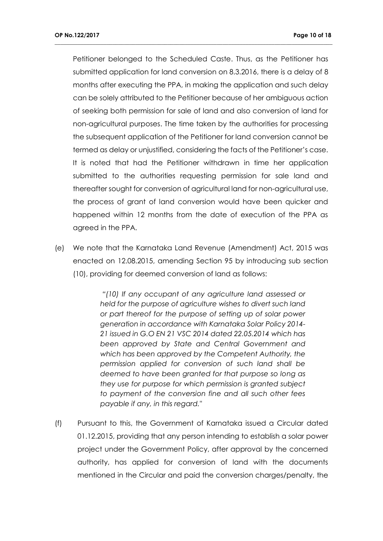Petitioner belonged to the Scheduled Caste. Thus, as the Petitioner has submitted application for land conversion on 8.3.2016, there is a delay of 8 months after executing the PPA, in making the application and such delay can be solely attributed to the Petitioner because of her ambiguous action of seeking both permission for sale of land and also conversion of land for non-agricultural purposes. The time taken by the authorities for processing the subsequent application of the Petitioner for land conversion cannot be termed as delay or unjustified, considering the facts of the Petitioner's case. It is noted that had the Petitioner withdrawn in time her application submitted to the authorities requesting permission for sale land and thereafter sought for conversion of agricultural land for non-agricultural use, the process of grant of land conversion would have been quicker and happened within 12 months from the date of execution of the PPA as agreed in the PPA.

**\_\_\_\_\_\_\_\_\_\_\_\_\_\_\_\_\_\_\_\_\_\_\_\_\_\_\_\_\_\_\_\_\_\_\_\_\_\_\_\_\_\_\_\_\_\_\_\_\_\_\_\_\_\_\_\_\_\_\_\_\_\_\_\_\_\_\_\_\_\_\_\_\_\_\_\_\_\_\_\_\_\_\_\_\_\_\_\_\_\_\_\_\_\_\_\_**

(e) We note that the Karnataka Land Revenue (Amendment) Act, 2015 was enacted on 12.08.2015, amending Section 95 by introducing sub section (10), providing for deemed conversion of land as follows:

> *"(10) If any occupant of any agriculture land assessed or held for the purpose of agriculture wishes to divert such land or part thereof for the purpose of setting up of solar power generation in accordance with Karnataka Solar Policy 2014- 21 issued in G.O EN 21 VSC 2014 dated 22.05.2014 which has been approved by State and Central Government and which has been approved by the Competent Authority, the permission applied for conversion of such land shall be deemed to have been granted for that purpose so long as they use for purpose for which permission is granted subject to payment of the conversion fine and all such other fees payable if any, in this regard."*

(f)Pursuant to this, the Government of Karnataka issued a Circular dated 01.12.2015, providing that any person intending to establish a solar power project under the Government Policy, after approval by the concerned authority, has applied for conversion of land with the documents mentioned in the Circular and paid the conversion charges/penalty, the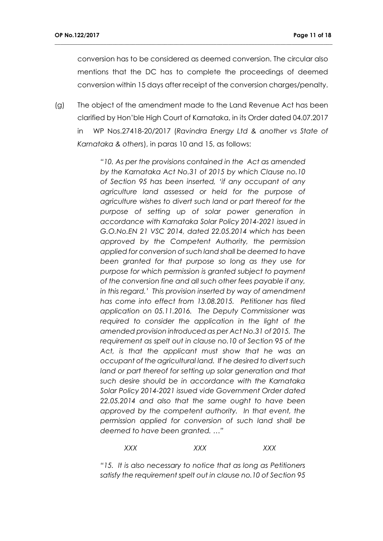conversion has to be considered as deemed conversion. The circular also mentions that the DC has to complete the proceedings of deemed conversion within 15 days after receipt of the conversion charges/penalty.

**\_\_\_\_\_\_\_\_\_\_\_\_\_\_\_\_\_\_\_\_\_\_\_\_\_\_\_\_\_\_\_\_\_\_\_\_\_\_\_\_\_\_\_\_\_\_\_\_\_\_\_\_\_\_\_\_\_\_\_\_\_\_\_\_\_\_\_\_\_\_\_\_\_\_\_\_\_\_\_\_\_\_\_\_\_\_\_\_\_\_\_\_\_\_\_\_**

(g) The object of the amendment made to the Land Revenue Act has been clarified by Hon'ble High Court of Karnataka, in its Order dated 04.07.2017 in WP Nos.27418-20/2017 (*Ravindra Energy Ltd & another vs State of Karnataka & others*), in paras 10 and 15, as follows:

> *"10. As per the provisions contained in the Act as amended by the Karnataka Act No.31 of 2015 by which Clause no.10 of Section 95 has been inserted, 'if any occupant of any agriculture land assessed or held for the purpose of agriculture wishes to divert such land or part thereof for the purpose of setting up of solar power generation in accordance with Karnataka Solar Policy 2014-2021 issued in G.O.No.EN 21 VSC 2014, dated 22.05.2014 which has been approved by the Competent Authority, the permission applied for conversion of such land shall be deemed to have been granted for that purpose so long as they use for purpose for which permission is granted subject to payment of the conversion fine and all such other fees payable if any, in this regard.' This provision inserted by way of amendment has come into effect from 13.08.2015. Petitioner has filed application on 05.11.2016. The Deputy Commissioner was*  required to consider the application in the light of the *amended provision introduced as per Act No.31 of 2015. The requirement as spelt out in clause no.10 of Section 95 of the Act, is that the applicant must show that he was an occupant of the agricultural land. If he desired to divert such land or part thereof for setting up solar generation and that such desire should be in accordance with the Karnataka Solar Policy 2014-2021 issued vide Government Order dated 22.05.2014 and also that the same ought to have been approved by the competent authority. In that event, the permission applied for conversion of such land shall be deemed to have been granted. …"*

*XXX XXX XXX*

*"15. It is also necessary to notice that as long as Petitioners satisfy the requirement spelt out in clause no.10 of Section 95*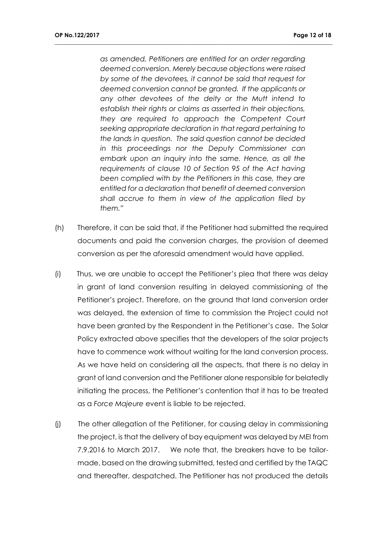*as amended, Petitioners are entitled for an order regarding deemed conversion. Merely because objections were raised by some of the devotees, it cannot be said that request for deemed conversion cannot be granted. If the applicants or any other devotees of the deity or the Mutt intend to establish their rights or claims as asserted in their objections, they are required to approach the Competent Court seeking appropriate declaration in that regard pertaining to the lands in question. The said question cannot be decided in this proceedings nor the Deputy Commissioner can embark upon an inquiry into the same. Hence, as all the requirements of clause 10 of Section 95 of the Act having been complied with by the Petitioners in this case, they are entitled for a declaration that benefit of deemed conversion shall accrue to them in view of the application filed by them."* 

- (h) Therefore, it can be said that, if the Petitioner had submitted the required documents and paid the conversion charges, the provision of deemed conversion as per the aforesaid amendment would have applied.
- (i) Thus, we are unable to accept the Petitioner's plea that there was delay in grant of land conversion resulting in delayed commissioning of the Petitioner's project. Therefore, on the ground that land conversion order was delayed, the extension of time to commission the Project could not have been granted by the Respondent in the Petitioner's case. The Solar Policy extracted above specifies that the developers of the solar projects have to commence work without waiting for the land conversion process. As we have held on considering all the aspects, that there is no delay in grant of land conversion and the Petitioner alone responsible for belatedly initiating the process, the Petitioner's contention that it has to be treated as a *Force Majeure* event is liable to be rejected.
- (j) The other allegation of the Petitioner, for causing delay in commissioning the project, is that the delivery of bay equipment was delayed by MEI from 7.9.2016 to March 2017. We note that, the breakers have to be tailormade, based on the drawing submitted, tested and certified by the TAQC and thereafter, despatched. The Petitioner has not produced the details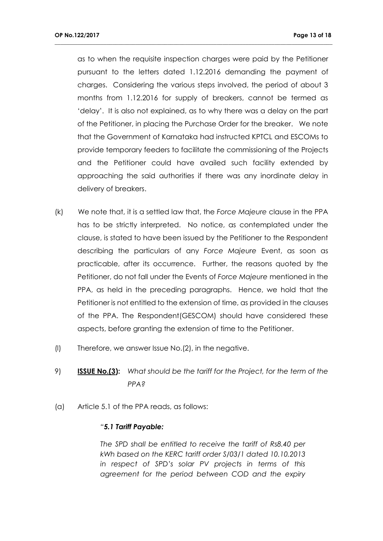as to when the requisite inspection charges were paid by the Petitioner pursuant to the letters dated 1.12.2016 demanding the payment of charges. Considering the various steps involved, the period of about 3 months from 1.12.2016 for supply of breakers, cannot be termed as 'delay'. It is also not explained, as to why there was a delay on the part of the Petitioner, in placing the Purchase Order for the breaker. We note that the Government of Karnataka had instructed KPTCL and ESCOMs to provide temporary feeders to facilitate the commissioning of the Projects and the Petitioner could have availed such facility extended by approaching the said authorities if there was any inordinate delay in delivery of breakers.

**\_\_\_\_\_\_\_\_\_\_\_\_\_\_\_\_\_\_\_\_\_\_\_\_\_\_\_\_\_\_\_\_\_\_\_\_\_\_\_\_\_\_\_\_\_\_\_\_\_\_\_\_\_\_\_\_\_\_\_\_\_\_\_\_\_\_\_\_\_\_\_\_\_\_\_\_\_\_\_\_\_\_\_\_\_\_\_\_\_\_\_\_\_\_\_\_**

- (k) We note that, it is a settled law that, the *Force Majeure* clause in the PPA has to be strictly interpreted. No notice, as contemplated under the clause, is stated to have been issued by the Petitioner to the Respondent describing the particulars of any *Force Majeure* Event, as soon as practicable, after its occurrence. Further, the reasons quoted by the Petitioner, do not fall under the Events of *Force Majeure* mentioned in the PPA, as held in the preceding paragraphs. Hence, we hold that the Petitioner is not entitled to the extension of time, as provided in the clauses of the PPA. The Respondent(GESCOM) should have considered these aspects, before granting the extension of time to the Petitioner.
- (l) Therefore, we answer Issue No.(2), in the negative.
- 9) **ISSUE No.(3):** *What should be the tariff for the Project, for the term of the PPA?*
- (a) Article 5.1 of the PPA reads, as follows:

### *"5.1 Tariff Payable:*

*The SPD shall be entitled to receive the tariff of Rs8.40 per kWh based on the KERC tariff order S/03/1 dated 10.10.2013 in respect of SPD's solar PV projects in terms of this agreement for the period between COD and the expiry*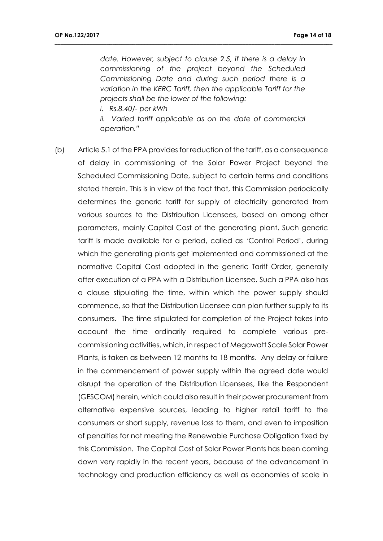*date. However, subject to clause 2.5, if there is a delay in commissioning of the project beyond the Scheduled Commissioning Date and during such period there is a variation in the KERC Tariff, then the applicable Tariff for the projects shall be the lower of the following:*

**\_\_\_\_\_\_\_\_\_\_\_\_\_\_\_\_\_\_\_\_\_\_\_\_\_\_\_\_\_\_\_\_\_\_\_\_\_\_\_\_\_\_\_\_\_\_\_\_\_\_\_\_\_\_\_\_\_\_\_\_\_\_\_\_\_\_\_\_\_\_\_\_\_\_\_\_\_\_\_\_\_\_\_\_\_\_\_\_\_\_\_\_\_\_\_\_**

*i. Rs.8.40/- per kWh*

*ii. Varied tariff applicable as on the date of commercial operation."*

(b) Article 5.1 of the PPA provides for reduction of the tariff, as a consequence of delay in commissioning of the Solar Power Project beyond the Scheduled Commissioning Date, subject to certain terms and conditions stated therein. This is in view of the fact that, this Commission periodically determines the generic tariff for supply of electricity generated from various sources to the Distribution Licensees, based on among other parameters, mainly Capital Cost of the generating plant. Such generic tariff is made available for a period, called as 'Control Period', during which the generating plants get implemented and commissioned at the normative Capital Cost adopted in the generic Tariff Order, generally after execution of a PPA with a Distribution Licensee. Such a PPA also has a clause stipulating the time, within which the power supply should commence, so that the Distribution Licensee can plan further supply to its consumers. The time stipulated for completion of the Project takes into account the time ordinarily required to complete various precommissioning activities, which, in respect of Megawatt Scale Solar Power Plants, is taken as between 12 months to 18 months. Any delay or failure in the commencement of power supply within the agreed date would disrupt the operation of the Distribution Licensees, like the Respondent (GESCOM) herein, which could also result in their power procurement from alternative expensive sources, leading to higher retail tariff to the consumers or short supply, revenue loss to them, and even to imposition of penalties for not meeting the Renewable Purchase Obligation fixed by this Commission. The Capital Cost of Solar Power Plants has been coming down very rapidly in the recent years, because of the advancement in technology and production efficiency as well as economies of scale in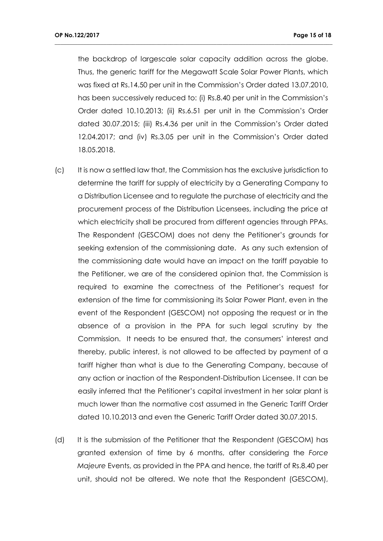the backdrop of largescale solar capacity addition across the globe. Thus, the generic tariff for the Megawatt Scale Solar Power Plants, which was fixed at Rs.14.50 per unit in the Commission's Order dated 13.07.2010, has been successively reduced to: (i) Rs.8.40 per unit in the Commission's Order dated 10.10.2013; (ii) Rs.6.51 per unit in the Commission's Order dated 30.07.2015; (iii) Rs.4.36 per unit in the Commission's Order dated 12.04.2017; and (iv) Rs.3.05 per unit in the Commission's Order dated 18.05.2018.

- (c) It is now a settled law that, the Commission has the exclusive jurisdiction to determine the tariff for supply of electricity by a Generating Company to a Distribution Licensee and to regulate the purchase of electricity and the procurement process of the Distribution Licensees, including the price at which electricity shall be procured from different agencies through PPAs. The Respondent (GESCOM) does not deny the Petitioner's grounds for seeking extension of the commissioning date. As any such extension of the commissioning date would have an impact on the tariff payable to the Petitioner, we are of the considered opinion that, the Commission is required to examine the correctness of the Petitioner's request for extension of the time for commissioning its Solar Power Plant, even in the event of the Respondent (GESCOM) not opposing the request or in the absence of a provision in the PPA for such legal scrutiny by the Commission. It needs to be ensured that, the consumers' interest and thereby, public interest, is not allowed to be affected by payment of a tariff higher than what is due to the Generating Company, because of any action or inaction of the Respondent-Distribution Licensee. It can be easily inferred that the Petitioner's capital investment in her solar plant is much lower than the normative cost assumed in the Generic Tariff Order dated 10.10.2013 and even the Generic Tariff Order dated 30.07.2015.
- (d) It is the submission of the Petitioner that the Respondent (GESCOM) has granted extension of time by 6 months, after considering the *Force Majeure* Events, as provided in the PPA and hence, the tariff of Rs.8.40 per unit, should not be altered. We note that the Respondent (GESCOM),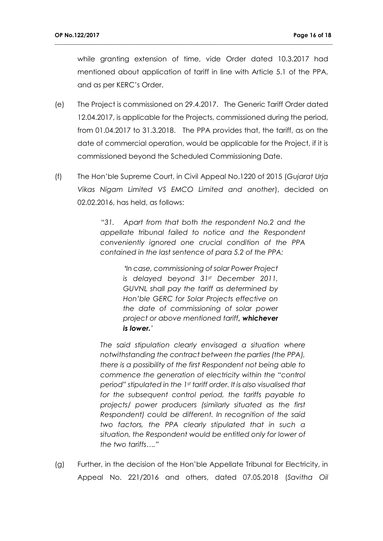while granting extension of time, vide Order dated 10.3.2017 had mentioned about application of tariff in line with Article 5.1 of the PPA, and as per KERC's Order.

**\_\_\_\_\_\_\_\_\_\_\_\_\_\_\_\_\_\_\_\_\_\_\_\_\_\_\_\_\_\_\_\_\_\_\_\_\_\_\_\_\_\_\_\_\_\_\_\_\_\_\_\_\_\_\_\_\_\_\_\_\_\_\_\_\_\_\_\_\_\_\_\_\_\_\_\_\_\_\_\_\_\_\_\_\_\_\_\_\_\_\_\_\_\_\_\_**

- (e) The Project is commissioned on 29.4.2017. The Generic Tariff Order dated 12.04.2017, is applicable for the Projects, commissioned during the period, from 01.04.2017 to 31.3.2018. The PPA provides that, the tariff, as on the date of commercial operation, would be applicable for the Project, if it is commissioned beyond the Scheduled Commissioning Date.
- (f) The Hon'ble Supreme Court, in Civil Appeal No.1220 of 2015 (*Gujarat Urja Vikas Nigam Limited VS EMCO Limited and another*), decided on 02.02.2016, has held, as follows:

*"31. Apart from that both the respondent No.2 and the appellate tribunal failed to notice and the Respondent conveniently ignored one crucial condition of the PPA contained in the last sentence of para 5.2 of the PPA:* 

> *'In case, commissioning of solar Power Project is delayed beyond 31st December 2011, GUVNL shall pay the tariff as determined by Hon'ble GERC for Solar Projects effective on the date of commissioning of solar power project or above mentioned tariff, whichever is lower.'*

*The said stipulation clearly envisaged a situation where notwithstanding the contract between the parties (the PPA), there is a possibility of the first Respondent not being able to commence the generation of electricity within the "control period" stipulated in the 1st tariff order. It is also visualised that for the subsequent control period, the tariffs payable to projects/ power producers (similarly situated as the first Respondent) could be different. In recognition of the said two factors, the PPA clearly stipulated that in such a situation, the Respondent would be entitled only for lower of the two tariffs…."*

(g) Further, in the decision of the Hon'ble Appellate Tribunal for Electricity, in Appeal No. 221/2016 and others, dated 07.05.2018 (*Savitha Oil*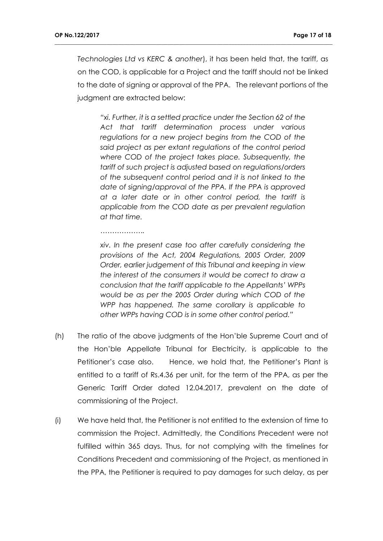*Technologies Ltd vs KERC & another*), it has been held that, the tariff, as on the COD, is applicable for a Project and the tariff should not be linked to the date of signing or approval of the PPA. The relevant portions of the judgment are extracted below:

**\_\_\_\_\_\_\_\_\_\_\_\_\_\_\_\_\_\_\_\_\_\_\_\_\_\_\_\_\_\_\_\_\_\_\_\_\_\_\_\_\_\_\_\_\_\_\_\_\_\_\_\_\_\_\_\_\_\_\_\_\_\_\_\_\_\_\_\_\_\_\_\_\_\_\_\_\_\_\_\_\_\_\_\_\_\_\_\_\_\_\_\_\_\_\_\_**

*"xi. Further, it is a settled practice under the Section 62 of the Act that tariff determination process under various regulations for a new project begins from the COD of the said project as per extant regulations of the control period where COD of the project takes place. Subsequently, the tariff of such project is adjusted based on regulations/orders of the subsequent control period and it is not linked to the date of signing/approval of the PPA. If the PPA is approved at a later date or in other control period, the tariff is applicable from the COD date as per prevalent regulation at that time.*

*……………….*

*xiv. In the present case too after carefully considering the provisions of the Act, 2004 Regulations, 2005 Order, 2009 Order, earlier judgement of this Tribunal and keeping in view the interest of the consumers it would be correct to draw a conclusion that the tariff applicable to the Appellants' WPPs would be as per the 2005 Order during which COD of the WPP has happened. The same corollary is applicable to other WPPs having COD is in some other control period."*

- (h) The ratio of the above judgments of the Hon'ble Supreme Court and of the Hon'ble Appellate Tribunal for Electricity, is applicable to the Petitioner's case also. Hence, we hold that, the Petitioner's Plant is entitled to a tariff of Rs.4.36 per unit, for the term of the PPA, as per the Generic Tariff Order dated 12.04.2017, prevalent on the date of commissioning of the Project.
- (i) We have held that, the Petitioner is not entitled to the extension of time to commission the Project. Admittedly, the Conditions Precedent were not fulfilled within 365 days. Thus, for not complying with the timelines for Conditions Precedent and commissioning of the Project, as mentioned in the PPA, the Petitioner is required to pay damages for such delay, as per